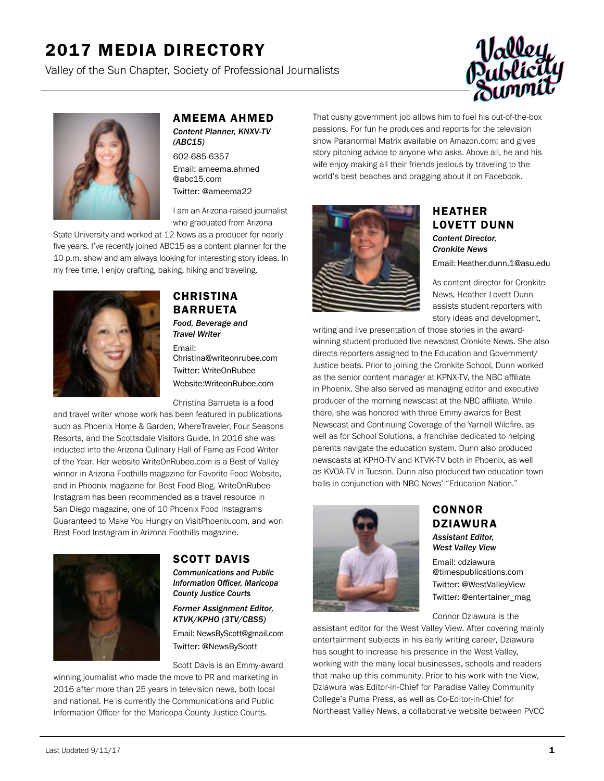Valley of the Sun Chapter, Society of Professional Journalists





#### AMEEMA AHMED *Content Planner, KNXV-TV*

*(ABC15)*

602-685-6357 Email: ameema.ahmed @abc15.com Twitter: @ameema22

I am an Arizona-raised journalist who graduated from Arizona

State University and worked at 12 News as a producer for nearly five years. I've recently joined ABC15 as a content planner for the 10 p.m. show and am always looking for interesting story ideas. In my free time, I enjoy crafting, baking, hiking and traveling.



## CHRISTINA BARRUETA

*Food, Beverage and Travel Writer* 

Email: Christina@writeonrubee.com Twitter: WriteOnRubee Website:WriteonRubee.com

Christina Barrueta is a food

and travel writer whose work has been featured in publications such as Phoenix Home & Garden, WhereTraveler, Four Seasons Resorts, and the Scottsdale Visitors Guide. In 2016 she was inducted into the Arizona Culinary Hall of Fame as Food Writer of the Year. Her website WriteOnRubee.com is a Best of Valley winner in Arizona Foothills magazine for Favorite Food Website, and in Phoenix magazine for Best Food Blog. WriteOnRubee Instagram has been recommended as a travel resource in San Diego magazine, one of 10 Phoenix Food Instagrams Guaranteed to Make You Hungry on VisitPhoenix.com, and won Best Food Instagram in Arizona Foothills magazine.



## SCOTT DAVIS

*Communications and Public Information Officer, Maricopa County Justice Courts*

*Former Assignment Editor, KTVK/KPHO (3TV/CBS5)* Email: NewsByScott@gmail.com Twitter: @NewsByScott

Scott Davis is an Emmy-award

winning journalist who made the move to PR and marketing in 2016 after more than 25 years in television news, both local and national. He is currently the Communications and Public Information Officer for the Maricopa County Justice Courts.

That cushy government job allows him to fuel his out-of-the-box passions. For fun he produces and reports for the television show Paranormal Matrix available on Amazon.com; and gives story pitching advice to anyone who asks. Above all, he and his wife enjoy making all their friends jealous by traveling to the world's best beaches and bragging about it on Facebook.



#### HEATHER LOVETT DUNN *Content Director, Cronkite News*

Email: Heather.dunn.1@asu.edu

As content director for Cronkite News, Heather Lovett Dunn assists student reporters with story ideas and development,

writing and live presentation of those stories in the awardwinning student-produced live newscast Cronkite News. She also directs reporters assigned to the Education and Government/ Justice beats. Prior to joining the Cronkite School, Dunn worked as the senior content manager at KPNX-TV, the NBC affiliate in Phoenix. She also served as managing editor and executive producer of the morning newscast at the NBC affiliate. While there, she was honored with three Emmy awards for Best Newscast and Continuing Coverage of the Yarnell Wildfire, as well as for School Solutions, a franchise dedicated to helping parents navigate the education system. Dunn also produced newscasts at KPHO-TV and KTVK-TV both in Phoenix, as well as KVOA-TV in Tucson. Dunn also produced two education town halls in conjunction with NBC News' "Education Nation."



#### CONNOR DZIAWURA *Assistant Editor, West Valley View*

Email: cdziawura @timespublications.com Twitter: @WestValleyView Twitter: @entertainer\_mag

Connor Dziawura is the

assistant editor for the West Valley View. After covering mainly entertainment subjects in his early writing career, Dziawura has sought to increase his presence in the West Valley, working with the many local businesses, schools and readers that make up this community. Prior to his work with the View, Dziawura was Editor-in-Chief for Paradise Valley Community College's Puma Press, as well as Co-Editor-in-Chief for Northeast Valley News, a collaborative website between PVCC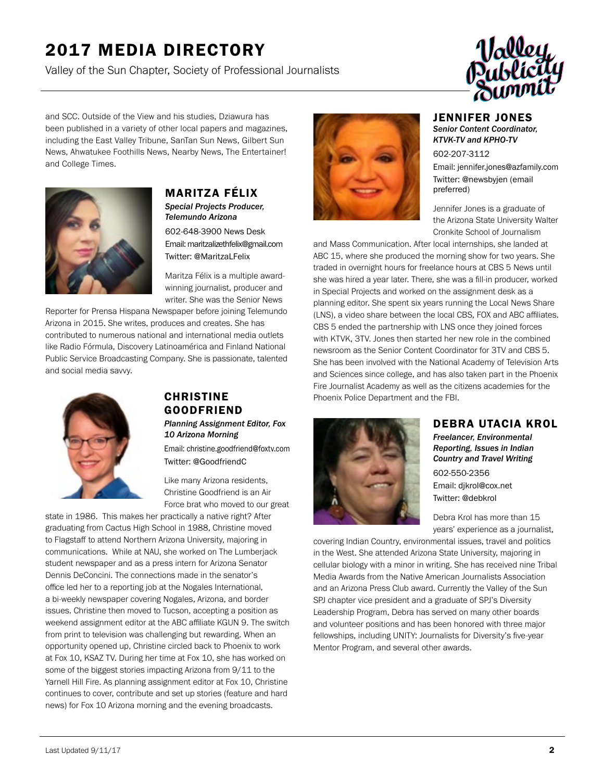Valley of the Sun Chapter, Society of Professional Journalists



and SCC. Outside of the View and his studies, Dziawura has been published in a variety of other local papers and magazines, including the East Valley Tribune, SanTan Sun News, Gilbert Sun News, Ahwatukee Foothills News, Nearby News, The Entertainer! and College Times.



# MARITZA FÉLIX

*Special Projects Producer, Telemundo Arizona* 602-648-3900 News Desk Email: maritzalizethfelix@gmail.com Twitter: @MaritzaLFelix

Maritza Félix is a multiple awardwinning journalist, producer and writer. She was the Senior News

Reporter for Prensa Hispana Newspaper before joining Telemundo Arizona in 2015. She writes, produces and creates. She has contributed to numerous national and international media outlets like Radio Fórmula, Discovery Latinoamérica and Finland National Public Service Broadcasting Company. She is passionate, talented and social media savvy.



## CHRISTINE GOODFRIEND

*Planning Assignment Editor, Fox 10 Arizona Morning*

Email: christine.goodfriend@foxtv.com Twitter: @GoodfriendC

Like many Arizona residents, Christine Goodfriend is an Air Force brat who moved to our great

state in 1986. This makes her practically a native right? After graduating from Cactus High School in 1988, Christine moved to Flagstaff to attend Northern Arizona University, majoring in communications. While at NAU, she worked on The Lumberjack student newspaper and as a press intern for Arizona Senator Dennis DeConcini. The connections made in the senator's office led her to a reporting job at the Nogales International, a bi-weekly newspaper covering Nogales, Arizona, and border issues. Christine then moved to Tucson, accepting a position as weekend assignment editor at the ABC affiliate KGUN 9. The switch from print to television was challenging but rewarding. When an opportunity opened up, Christine circled back to Phoenix to work at Fox 10, KSAZ TV. During her time at Fox 10, she has worked on some of the biggest stories impacting Arizona from 9/11 to the Yarnell Hill Fire. As planning assignment editor at Fox 10, Christine continues to cover, contribute and set up stories (feature and hard news) for Fox 10 Arizona morning and the evening broadcasts.



#### JENNIFER JONES *Senior Content Coordinator,*

*KTVK-TV and KPHO-TV* 

602-207-3112

Email: jennifer.jones@azfamily.com Twitter: @newsbyjen (email preferred)

Jennifer Jones is a graduate of the Arizona State University Walter Cronkite School of Journalism

and Mass Communication. After local internships, she landed at ABC 15, where she produced the morning show for two years. She traded in overnight hours for freelance hours at CBS 5 News until she was hired a year later. There, she was a fill-in producer, worked in Special Projects and worked on the assignment desk as a planning editor. She spent six years running the Local News Share (LNS), a video share between the local CBS, FOX and ABC affiliates. CBS 5 ended the partnership with LNS once they joined forces with KTVK, 3TV. Jones then started her new role in the combined newsroom as the Senior Content Coordinator for 3TV and CBS 5. She has been involved with the National Academy of Television Arts and Sciences since college, and has also taken part in the Phoenix Fire Journalist Academy as well as the citizens academies for the Phoenix Police Department and the FBI.



### DEBRA UTACIA KROL

*Freelancer, Environmental Reporting, Issues in Indian Country and Travel Writing* 602-550-2356

Email: djkrol@cox.net Twitter: @debkrol

Debra Krol has more than 15 years' experience as a journalist,

covering Indian Country, environmental issues, travel and politics in the West. She attended Arizona State University, majoring in cellular biology with a minor in writing. She has received nine Tribal Media Awards from the Native American Journalists Association and an Arizona Press Club award. Currently the Valley of the Sun SPJ chapter vice president and a graduate of SPJ's Diversity Leadership Program, Debra has served on many other boards and volunteer positions and has been honored with three major fellowships, including UNITY: Journalists for Diversity's five-year Mentor Program, and several other awards.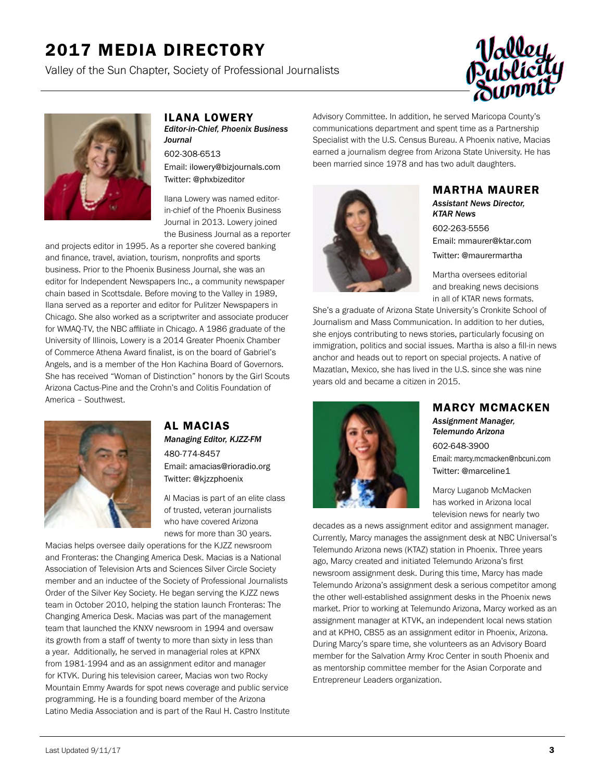Valley of the Sun Chapter, Society of Professional Journalists





#### ILANA LOWERY

*Editor-in-Chief, Phoenix Business Journal*

602-308-6513 Email: ilowery@bizjournals.com Twitter: @phxbizeditor

Ilana Lowery was named editorin-chief of the Phoenix Business Journal in 2013. Lowery joined the Business Journal as a reporter

and projects editor in 1995. As a reporter she covered banking and finance, travel, aviation, tourism, nonprofits and sports business. Prior to the Phoenix Business Journal, she was an editor for Independent Newspapers Inc., a community newspaper chain based in Scottsdale. Before moving to the Valley in 1989, Ilana served as a reporter and editor for Pulitzer Newspapers in Chicago. She also worked as a scriptwriter and associate producer for WMAQ-TV, the NBC affiliate in Chicago. A 1986 graduate of the University of Illinois, Lowery is a 2014 Greater Phoenix Chamber of Commerce Athena Award finalist, is on the board of Gabriel's Angels, and is a member of the Hon Kachina Board of Governors. She has received "Woman of Distinction" honors by the Girl Scouts Arizona Cactus-Pine and the Crohn's and Colitis Foundation of America – Southwest.



## AL MACIAS *Managing Editor, KJZZ-FM* 480-774-8457

Email: amacias@rioradio.org Twitter: @kjzzphoenix

Al Macias is part of an elite class of trusted, veteran journalists who have covered Arizona news for more than 30 years.

Macias helps oversee daily operations for the KJZZ newsroom and Fronteras: the Changing America Desk. Macias is a National Association of Television Arts and Sciences Silver Circle Society member and an inductee of the Society of Professional Journalists Order of the Silver Key Society. He began serving the KJZZ news team in October 2010, helping the station launch Fronteras: The Changing America Desk. Macias was part of the management team that launched the KNXV newsroom in 1994 and oversaw its growth from a staff of twenty to more than sixty in less than a year. Additionally, he served in managerial roles at KPNX from 1981-1994 and as an assignment editor and manager for KTVK. During his television career, Macias won two Rocky Mountain Emmy Awards for spot news coverage and public service programming. He is a founding board member of the Arizona Latino Media Association and is part of the Raul H. Castro Institute

Advisory Committee. In addition, he served Maricopa County's communications department and spent time as a Partnership Specialist with the U.S. Census Bureau. A Phoenix native, Macias earned a journalism degree from Arizona State University. He has been married since 1978 and has two adult daughters.



## MARTHA MAURER

*Assistant News Director, KTAR News* 602-263-5556 Email: mmaurer@ktar.com Twitter: @maurermartha

Martha oversees editorial and breaking news decisions in all of KTAR news formats.

She's a graduate of Arizona State University's Cronkite School of Journalism and Mass Communication. In addition to her duties, she enjoys contributing to news stories, particularly focusing on immigration, politics and social issues. Martha is also a fill-in news anchor and heads out to report on special projects. A native of Mazatlan, Mexico, she has lived in the U.S. since she was nine years old and became a citizen in 2015.



### MARCY MCMACKEN

*Assignment Manager, Telemundo Arizona* 602-648-3900 Email: marcy.mcmacken@nbcuni.com Twitter: @marceline1

Marcy Luganob McMacken has worked in Arizona local television news for nearly two

decades as a news assignment editor and assignment manager. Currently, Marcy manages the assignment desk at NBC Universal's Telemundo Arizona news (KTAZ) station in Phoenix. Three years ago, Marcy created and initiated Telemundo Arizona's first newsroom assignment desk. During this time, Marcy has made Telemundo Arizona's assignment desk a serious competitor among the other well-established assignment desks in the Phoenix news market. Prior to working at Telemundo Arizona, Marcy worked as an assignment manager at KTVK, an independent local news station and at KPHO, CBS5 as an assignment editor in Phoenix, Arizona. During Marcy's spare time, she volunteers as an Advisory Board member for the Salvation Army Kroc Center in south Phoenix and as mentorship committee member for the Asian Corporate and Entrepreneur Leaders organization.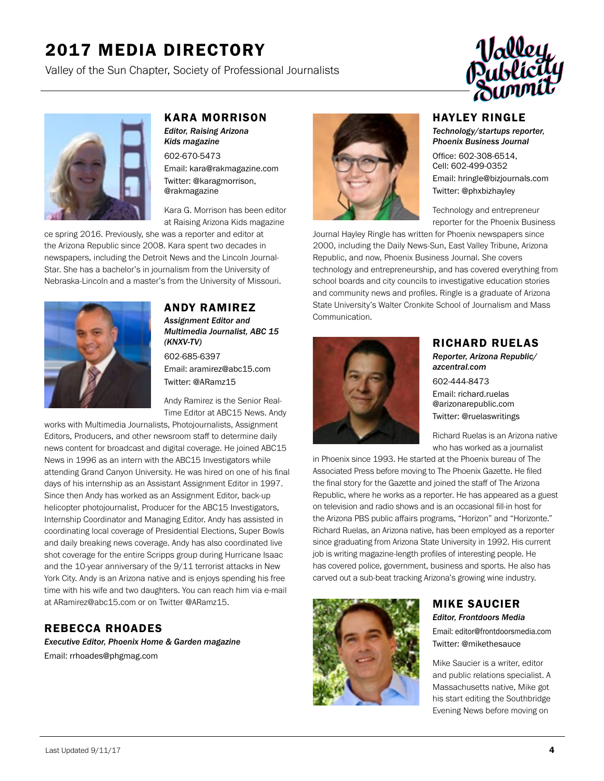Valley of the Sun Chapter, Society of Professional Journalists





#### KARA MORRISON

*Editor, Raising Arizona Kids magazine* 602-670-5473 Email: kara@rakmagazine.com Twitter: @karagmorrison, @rakmagazine

Kara G. Morrison has been editor at Raising Arizona Kids magazine

ce spring 2016. Previously, she was a reporter and editor at the Arizona Republic since 2008. Kara spent two decades in newspapers, including the Detroit News and the Lincoln Journal-Star. She has a bachelor's in journalism from the University of Nebraska-Lincoln and a master's from the University of Missouri.



#### ANDY RAMIREZ

*Assignment Editor and Multimedia Journalist, ABC 15 (KNXV-TV)* 602-685-6397

Email: aramirez@abc15.com Twitter: @ARamz15

Andy Ramirez is the Senior Real-Time Editor at ABC15 News. Andy

works with Multimedia Journalists, Photojournalists, Assignment Editors, Producers, and other newsroom staff to determine daily news content for broadcast and digital coverage. He joined ABC15 News in 1996 as an intern with the ABC15 Investigators while attending Grand Canyon University. He was hired on one of his final days of his internship as an Assistant Assignment Editor in 1997. Since then Andy has worked as an Assignment Editor, back-up helicopter photojournalist, Producer for the ABC15 Investigators, Internship Coordinator and Managing Editor. Andy has assisted in coordinating local coverage of Presidential Elections, Super Bowls and daily breaking news coverage. Andy has also coordinated live shot coverage for the entire Scripps group during Hurricane Isaac and the 10-year anniversary of the 9/11 terrorist attacks in New York City. Andy is an Arizona native and is enjoys spending his free time with his wife and two daughters. You can reach him via e-mail at ARamirez@abc15.com or on Twitter @ARamz15.

### REBECCA RHOADES

*Executive Editor, Phoenix Home & Garden magazine* Email: rrhoades@phgmag.com



#### HAYLEY RINGLE

*Technology/startups reporter, Phoenix Business Journal*

Office: 602-308-6514, Cell: 602-499-0352 Email: hringle@bizjournals.com Twitter: @phxbizhayley

Technology and entrepreneur reporter for the Phoenix Business

Journal Hayley Ringle has written for Phoenix newspapers since 2000, including the Daily News-Sun, East Valley Tribune, Arizona Republic, and now, Phoenix Business Journal. She covers technology and entrepreneurship, and has covered everything from school boards and city councils to investigative education stories and community news and profiles. Ringle is a graduate of Arizona State University's Walter Cronkite School of Journalism and Mass Communication.



#### RICHARD RUELAS

*Reporter, Arizona Republic/ azcentral.com*

602-444-8473 Email: richard.ruelas @arizonarepublic.com Twitter: @ruelaswritings

Richard Ruelas is an Arizona native who has worked as a journalist

in Phoenix since 1993. He started at the Phoenix bureau of The Associated Press before moving to The Phoenix Gazette. He filed the final story for the Gazette and joined the staff of The Arizona Republic, where he works as a reporter. He has appeared as a guest on television and radio shows and is an occasional fill-in host for the Arizona PBS public affairs programs, "Horizon" and "Horizonte." Richard Ruelas, an Arizona native, has been employed as a reporter since graduating from Arizona State University in 1992. His current job is writing magazine-length profiles of interesting people. He has covered police, government, business and sports. He also has carved out a sub-beat tracking Arizona's growing wine industry.



## MIKE SAUCIER

*Editor, Frontdoors Media* Email: editor@frontdoorsmedia.com Twitter: @mikethesauce

Mike Saucier is a writer, editor and public relations specialist. A Massachusetts native, Mike got his start editing the Southbridge Evening News before moving on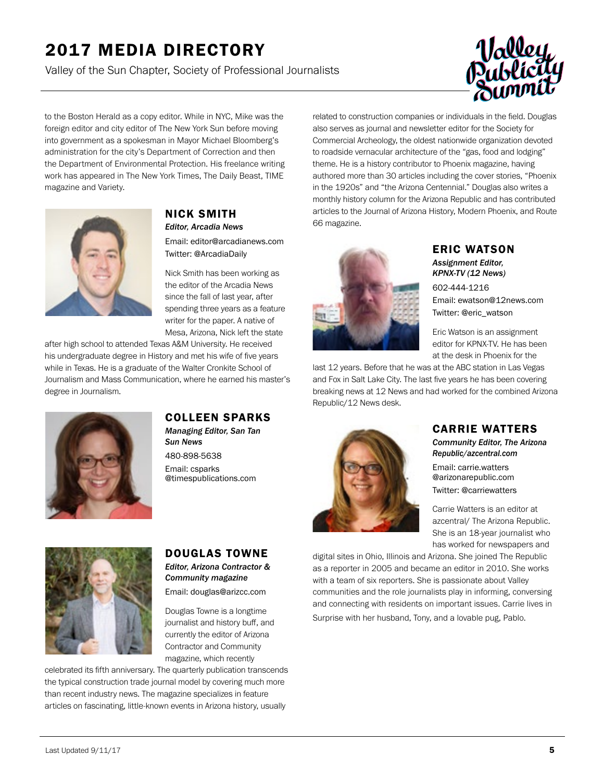Valley of the Sun Chapter, Society of Professional Journalists



to the Boston Herald as a copy editor. While in NYC, Mike was the foreign editor and city editor of The New York Sun before moving into government as a spokesman in Mayor Michael Bloomberg's administration for the city's Department of Correction and then the Department of Environmental Protection. His freelance writing work has appeared in The New York Times, The Daily Beast, TIME magazine and Variety.



#### NICK SMITH *Editor, Arcadia News*

Email: editor@arcadianews.com Twitter: @ArcadiaDaily

Nick Smith has been working as the editor of the Arcadia News since the fall of last year, after spending three years as a feature writer for the paper. A native of Mesa, Arizona, Nick left the state

after high school to attended Texas A&M University. He received his undergraduate degree in History and met his wife of five years while in Texas. He is a graduate of the Walter Cronkite School of Journalism and Mass Communication, where he earned his master's degree in Journalism.



66 magazine.

## ERIC WATSON

*Assignment Editor, KPNX-TV (12 News)* 602-444-1216 Email: ewatson@12news.com Twitter: @eric\_watson

Eric Watson is an assignment editor for KPNX-TV. He has been at the desk in Phoenix for the

last 12 years. Before that he was at the ABC station in Las Vegas and Fox in Salt Lake City. The last five years he has been covering breaking news at 12 News and had worked for the combined Arizona Republic/12 News desk.

related to construction companies or individuals in the field. Douglas also serves as journal and newsletter editor for the Society for Commercial Archeology, the oldest nationwide organization devoted to roadside vernacular architecture of the "gas, food and lodging" theme. He is a history contributor to Phoenix magazine, having authored more than 30 articles including the cover stories, "Phoenix in the 1920s" and "the Arizona Centennial." Douglas also writes a monthly history column for the Arizona Republic and has contributed articles to the Journal of Arizona History, Modern Phoenix, and Route



### COLLEEN SPARKS

*Managing Editor, San Tan Sun News*

480-898-5638 Email: csparks @timespublications.com



# DOUGLAS TOWNE

*Editor, Arizona Contractor & Community magazine* Email: douglas@arizcc.com

Douglas Towne is a longtime journalist and history buff, and currently the editor of Arizona Contractor and Community magazine, which recently

celebrated its fifth anniversary. The quarterly publication transcends the typical construction trade journal model by covering much more than recent industry news. The magazine specializes in feature articles on fascinating, little-known events in Arizona history, usually



#### CARRIE WATTERS

*Community Editor, The Arizona Republic/azcentral.com*

Email: carrie.watters @arizonarepublic.com Twitter: @carriewatters

Carrie Watters is an editor at azcentral/ The Arizona Republic. She is an 18-year journalist who has worked for newspapers and

digital sites in Ohio, Illinois and Arizona. She joined The Republic as a reporter in 2005 and became an editor in 2010. She works with a team of six reporters. She is passionate about Valley communities and the role journalists play in informing, conversing and connecting with residents on important issues. Carrie lives in Surprise with her husband, Tony, and a lovable pug, Pablo.